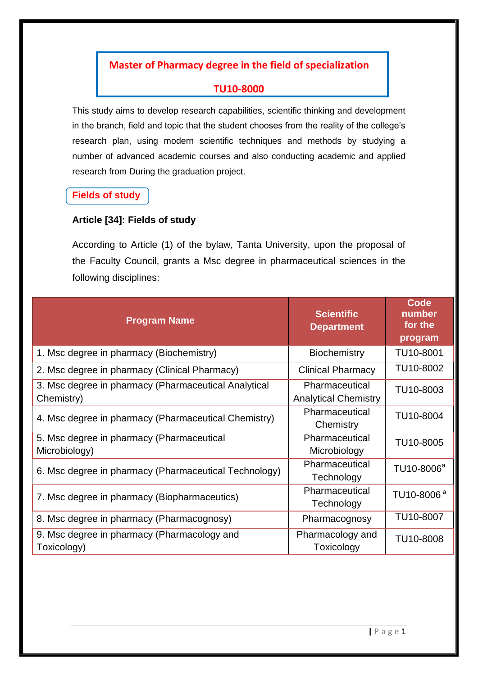# **Master of Pharmacy degree in the field of specialization**

### **TU10-8000**

This study aims to develop research capabilities, scientific thinking and development in the branch, field and topic that the student chooses from the reality of the college's research plan, using modern scientific techniques and methods by studying a number of advanced academic courses and also conducting academic and applied research from During the graduation project.

### **Fields of study**

### **Article [34]: Fields of study**

According to Article (1) of the bylaw, Tanta University, upon the proposal of the Faculty Council, grants a Msc degree in pharmaceutical sciences in the following disciplines:

| <b>Program Name</b>                                                | <b>Scientific</b><br><b>Department</b>        | Code<br>number<br>for the<br>program |
|--------------------------------------------------------------------|-----------------------------------------------|--------------------------------------|
| 1. Msc degree in pharmacy (Biochemistry)                           | <b>Biochemistry</b>                           | TU10-8001                            |
| 2. Msc degree in pharmacy (Clinical Pharmacy)                      | <b>Clinical Pharmacy</b>                      | TU10-8002                            |
| 3. Msc degree in pharmacy (Pharmaceutical Analytical<br>Chemistry) | Pharmaceutical<br><b>Analytical Chemistry</b> | TU10-8003                            |
| 4. Msc degree in pharmacy (Pharmaceutical Chemistry)               | Pharmaceutical<br>Chemistry                   | TU10-8004                            |
| 5. Msc degree in pharmacy (Pharmaceutical<br>Microbiology)         | Pharmaceutical<br>Microbiology                | TU10-8005                            |
| 6. Msc degree in pharmacy (Pharmaceutical Technology)              | Pharmaceutical<br>Technology                  | TU10-8006 <sup>a</sup>               |
| 7. Msc degree in pharmacy (Biopharmaceutics)                       | Pharmaceutical<br>Technology                  | TU10-8006 <sup>a</sup>               |
| 8. Msc degree in pharmacy (Pharmacognosy)                          | Pharmacognosy                                 | TU10-8007                            |
| 9. Msc degree in pharmacy (Pharmacology and<br>Toxicology)         | Pharmacology and<br>Toxicology                | TU10-8008                            |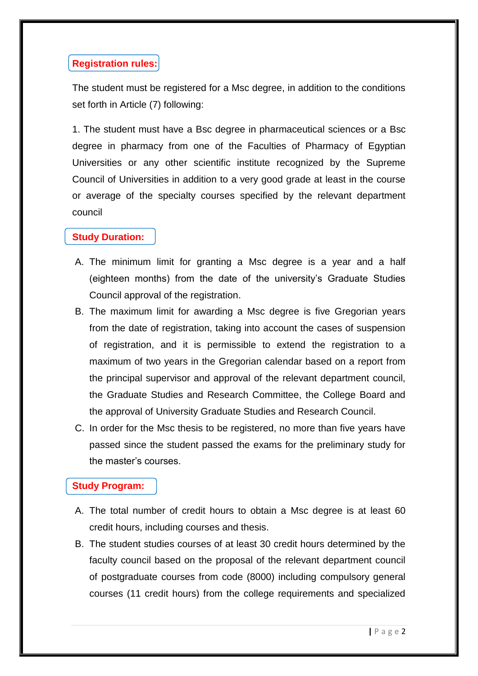## **Registration rules:**

The student must be registered for a Msc degree, in addition to the conditions set forth in Article (7) following:

1. The student must have a Bsc degree in pharmaceutical sciences or a Bsc degree in pharmacy from one of the Faculties of Pharmacy of Egyptian Universities or any other scientific institute recognized by the Supreme Council of Universities in addition to a very good grade at least in the course or average of the specialty courses specified by the relevant department council

## **Study Duration:**

- A. The minimum limit for granting a Msc degree is a year and a half (eighteen months) from the date of the university's Graduate Studies Council approval of the registration.
- B. The maximum limit for awarding a Msc degree is five Gregorian years from the date of registration, taking into account the cases of suspension of registration, and it is permissible to extend the registration to a maximum of two years in the Gregorian calendar based on a report from the principal supervisor and approval of the relevant department council, the Graduate Studies and Research Committee, the College Board and the approval of University Graduate Studies and Research Council.
- C. In order for the Msc thesis to be registered, no more than five years have passed since the student passed the exams for the preliminary study for the master's courses.

## **Study Program:**

- A. The total number of credit hours to obtain a Msc degree is at least 60 credit hours, including courses and thesis.
- B. The student studies courses of at least 30 credit hours determined by the faculty council based on the proposal of the relevant department council of postgraduate courses from code (8000) including compulsory general courses (11 credit hours) from the college requirements and specialized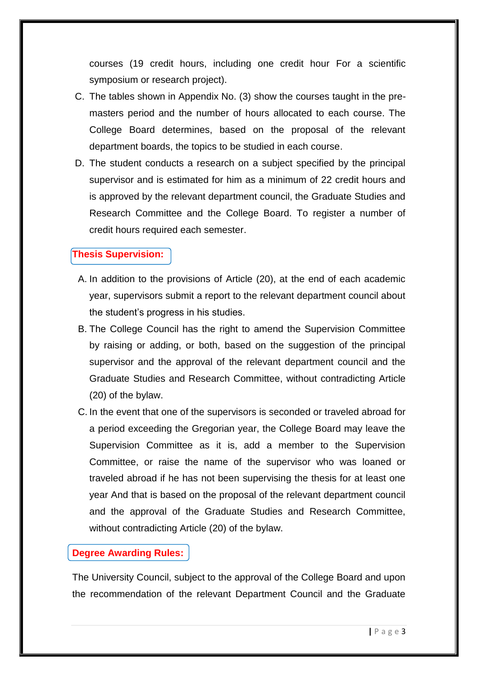courses (19 credit hours, including one credit hour For a scientific symposium or research project).

- C. The tables shown in Appendix No. (3) show the courses taught in the premasters period and the number of hours allocated to each course. The College Board determines, based on the proposal of the relevant department boards, the topics to be studied in each course.
- D. The student conducts a research on a subject specified by the principal supervisor and is estimated for him as a minimum of 22 credit hours and is approved by the relevant department council, the Graduate Studies and Research Committee and the College Board. To register a number of credit hours required each semester.

### **Thesis Supervision:**

- A. In addition to the provisions of Article (20), at the end of each academic year, supervisors submit a report to the relevant department council about the student's progress in his studies.
- B. The College Council has the right to amend the Supervision Committee by raising or adding, or both, based on the suggestion of the principal supervisor and the approval of the relevant department council and the Graduate Studies and Research Committee, without contradicting Article (20) of the bylaw.
- C. In the event that one of the supervisors is seconded or traveled abroad for a period exceeding the Gregorian year, the College Board may leave the Supervision Committee as it is, add a member to the Supervision Committee, or raise the name of the supervisor who was loaned or traveled abroad if he has not been supervising the thesis for at least one year And that is based on the proposal of the relevant department council and the approval of the Graduate Studies and Research Committee, without contradicting Article (20) of the bylaw.

#### **Degree Awarding Rules:**

The University Council, subject to the approval of the College Board and upon the recommendation of the relevant Department Council and the Graduate